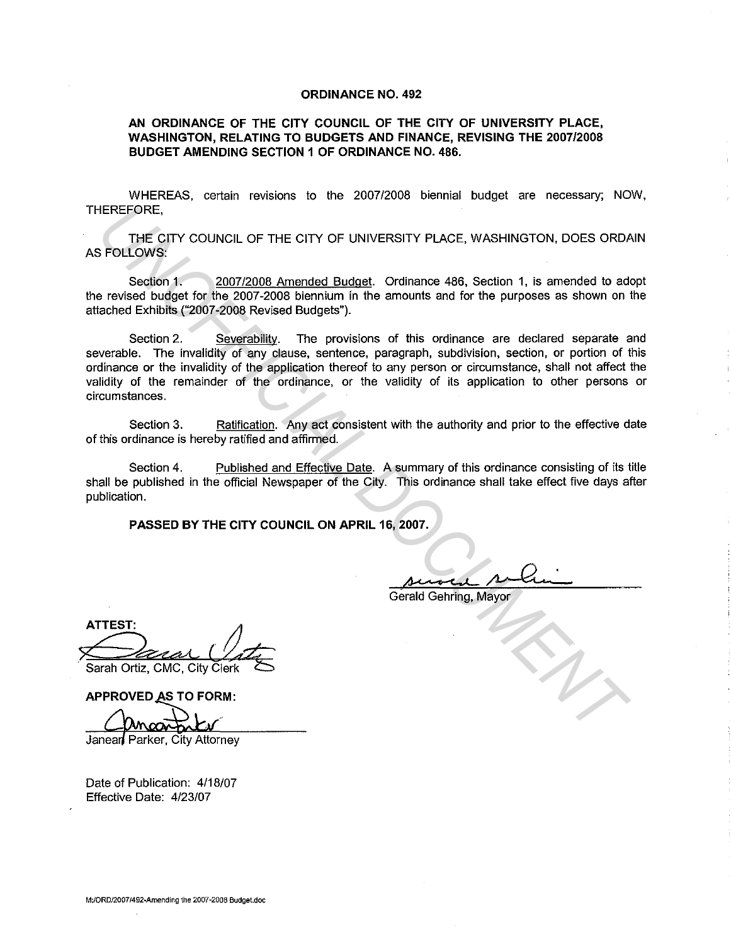## ORDINANCE NO. 492

## AN ORDINANCE OF THE CITY COUNCIL OF THE CITY OF UNIVERSITY PLACE, WASHINGTON, RELATING TO BUDGETS AND FINANCE, REVISING THE 2007/2008 BUDGET AMENDING SECTION 1 OF ORDINANCE NO. 486.

WHEREAS, certain revisions to the 2007/2008 biennial budget are necessary; NOW, THEREFORE,

THE CITY COUNCIL OF THE CITY OF UNIVERSITY PLACE, WASHINGTON, DOES ORDAIN AS FOLLOWS:

Section 1. 2007/2008 Amended Budget. Ordinance 486, Section 1, is amended to adopt the revised budget for the 2007-2008 biennium in the amounts and for the purposes as shown on the attached Exhibits ("2007-2008 Revised Budgets").

Section 2. Severability. The provisions of this ordinance are declared separate and severable. The invalidity of any clause, sentence, paragraph, subdivision, section, or portion of this ordinance or the invalidity of the application thereof to any person or circumstance, shall not affect the validity of the remainder of the ordinance, or the validity of its application to other persons or circumstances. EREFORE,<br>
THE CITY COUNCIL OF THE CITY OF UNIVERSITY PLACE, WASHINGTON, DOES ORDA<br>
FOLLOWS:<br>
Section 1. 2007/2008 Amended Budget. Ordinance 486, Section 1, is amended to addented Exhibits (2007/2008 Newised Budgets').<br>
Sec

Section 3. Ratification. Any act consistent with the authority and prior to the effective date of this ordinance is hereby ratified and affirmed.

Section 4. Published and Effective Date. A summary of this ordinance consisting of its title shall be published in the official Newspaper of the City. This ordinance shall take effect five days after publication.

PASSED BY THE CITY COUNCIL ON APRIL 16, 2007.

Gerald Gehring, Mayor

**ATTEST:** Sarah Ortiz, CMC, City Clerk

APPROVED AS TO FORM:

Date of Publication: 4/18/07 Effective Date: 4/23/07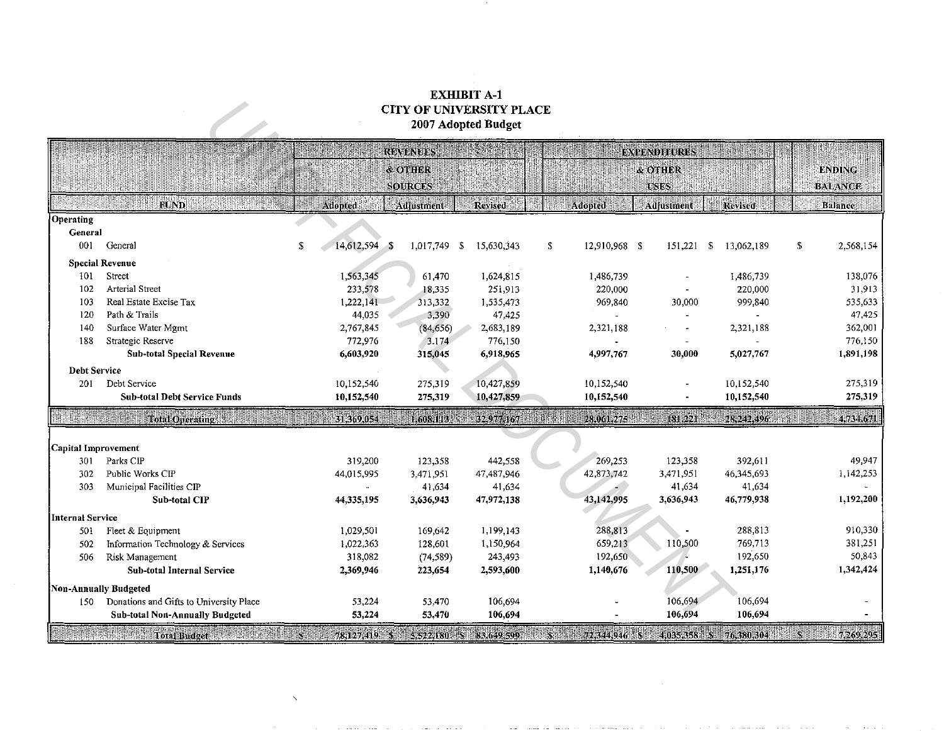## EXHIBIT A-1 CITY OF UNIVERSITY PLACE 2007 Adopted Budget

| <b>CITY OF UNIVERSITY PLACE</b><br>2007 Adopted Budget |                                                                                                                                              |  |               |                    |                        |                 |                  |             |                  |   |                |
|--------------------------------------------------------|----------------------------------------------------------------------------------------------------------------------------------------------|--|---------------|--------------------|------------------------|-----------------|------------------|-------------|------------------|---|----------------|
| <b>EXPENDITURES</b><br><b>REVENUES</b>                 |                                                                                                                                              |  |               |                    |                        |                 |                  |             |                  |   |                |
|                                                        |                                                                                                                                              |  |               | <b>&amp; OTHER</b> |                        |                 |                  | & OTHER     |                  |   | <b>ENDING</b>  |
|                                                        |                                                                                                                                              |  |               | <b>SOFRCES</b>     |                        |                 |                  | <b>USES</b> |                  |   | <b>BALANCE</b> |
|                                                        | <b>FUND</b>                                                                                                                                  |  | Adopted       | Adjustment         | Revised                |                 | Adopted          | Adjustment  | Revised          |   | Balance        |
| Operating                                              |                                                                                                                                              |  |               |                    |                        |                 |                  |             |                  |   |                |
| General                                                |                                                                                                                                              |  |               |                    |                        |                 |                  |             |                  |   |                |
| 001                                                    | General                                                                                                                                      |  | 14,612,594 \$ | 1,017,749 \$       | 15,630,343             | s.              | 12,910,968 \$    | 151.221     | -S<br>13,062,189 | S | 2,568,154      |
|                                                        | <b>Special Revenue</b>                                                                                                                       |  |               |                    |                        |                 |                  |             |                  |   |                |
| 101                                                    | Street                                                                                                                                       |  | 1,563,345     | 61,470             | 1,624,815              |                 | 1,486,739        |             | 1,486,739        |   | 138,076        |
| 102                                                    | <b>Arterial Street</b>                                                                                                                       |  | 233,578       | 18 3 3 5           | 251,913                |                 | 220,000          |             | 220,000          |   | 31,913         |
| 103                                                    | Real Estate Excise Tax                                                                                                                       |  | 1,222,141     | 313,332            | 1,535,473              |                 | 969,840          | 30,000      | 999,840          |   | 535,633        |
| 120                                                    | Path & Trails                                                                                                                                |  | 44,035        | 3,390              | 47,425                 |                 |                  |             |                  |   | 47,425         |
| 140                                                    | Surface Water Mgmt                                                                                                                           |  | 2,767,845     | (84, 656)          | 2,683,189              |                 | 2,321,188        |             | 2,321,188        |   | 362,001        |
| 188                                                    | Strategic Reserve                                                                                                                            |  | 772,976       | 3,174              | 776,150                |                 |                  |             |                  |   | 776,150        |
|                                                        | <b>Sub-total Special Revenue</b>                                                                                                             |  | 6,603,920     | 315,045            | 6,918,965              |                 | 4,997,767        | 30,000      | 5,027,767        |   | 1,891,198      |
| Debt Service                                           |                                                                                                                                              |  |               |                    |                        |                 |                  |             |                  |   |                |
| 201                                                    | Debt Service                                                                                                                                 |  | 10,152,540    | 275,319            | 10,427,859             |                 | 10,152,540       |             | 10,152,540       |   | 275,319        |
|                                                        | <b>Sub-total Debt Service Funds</b>                                                                                                          |  | 10,152,540    | 275,319            | 10,427,859             |                 | 10,152,540       |             | 10,152,540       |   | 275,319        |
| <b>IN ANTIBORITÀ DEL</b>                               | <b>Total Operating</b>                                                                                                                       |  | 31,369,054    | 1,608,113          | 32.977.167             | <b>AN MODER</b> | 28.061.275       | 181.221     | 28,242,496       |   | 4.784.671      |
| Capital Improvement                                    |                                                                                                                                              |  |               |                    |                        |                 |                  |             |                  |   |                |
| 301                                                    | Parks CIP                                                                                                                                    |  | 319,200       | 123,358            | 442,558                |                 | 269,253          | 123,358     | 392,611          |   | 49,947         |
| 302                                                    | Public Works CIP                                                                                                                             |  | 44,015,995    | 3,471,951          | 47,487,946             |                 | 42,873,742       | 3,471,951   | 46,345,693       |   | 1,142,253      |
| 303                                                    | Municipal Facilities CIP                                                                                                                     |  |               | 41,634             | 41,634                 |                 |                  | 41,634      | 41,634           |   |                |
|                                                        | Sub-total CIP                                                                                                                                |  | 44.335,195    | 3,636,943          | 47,972,138             |                 | 43,142,995       | 3,636,943   | 46,779,938       |   | 1,192,200      |
| Internal Service                                       |                                                                                                                                              |  |               |                    |                        |                 |                  |             |                  |   |                |
| 501                                                    | Fleet & Equipment                                                                                                                            |  | 1,029,501     | 169,642            | 1,199,143              |                 | 288,813          |             | 288,813          |   | 910,330        |
| 502                                                    | Information Technology & Services                                                                                                            |  | 1,022,363     | 128,601            | 1,150,964              |                 | 659,213          | 110,500     | 769,713          |   | 381,251        |
| 506                                                    | Risk Management                                                                                                                              |  | 318,082       | (74, 589)          | 243,493                |                 | 192,650          |             | 192,650          |   | 50,843         |
|                                                        | Sub-total Internal Service                                                                                                                   |  | 2,369,946     | 223,654            | 2,593,600              |                 | 1,140,676        | 110,500     | 1,251,176        |   | 1,342,424      |
|                                                        | Non-Annually Budgeted                                                                                                                        |  |               |                    |                        |                 |                  |             |                  |   |                |
| 150                                                    | Donations and Gifts to University Place                                                                                                      |  | 53,224        | 53,470             | 106,694                |                 |                  | 106,694     | 106,694          |   |                |
|                                                        | <b>Sub-total Non-Annually Budgeted</b>                                                                                                       |  | 53,224        | 53,470             | 106,694                |                 |                  | 106,694     | 106,694          |   |                |
|                                                        | <b>Total Budget</b><br><u>e de la componentación de la componentación de la componentación de la componentación de la componentación de </u> |  | 78,127,419 \$ |                    | 5,522,180 \$83,649,599 |                 | $3 - 72,344,946$ | 4,035,358   | 76,380,304       | W | 7,269,295      |

 $\bar{\Delta}$ 

 $\sim$ 

and a state

 $\sim$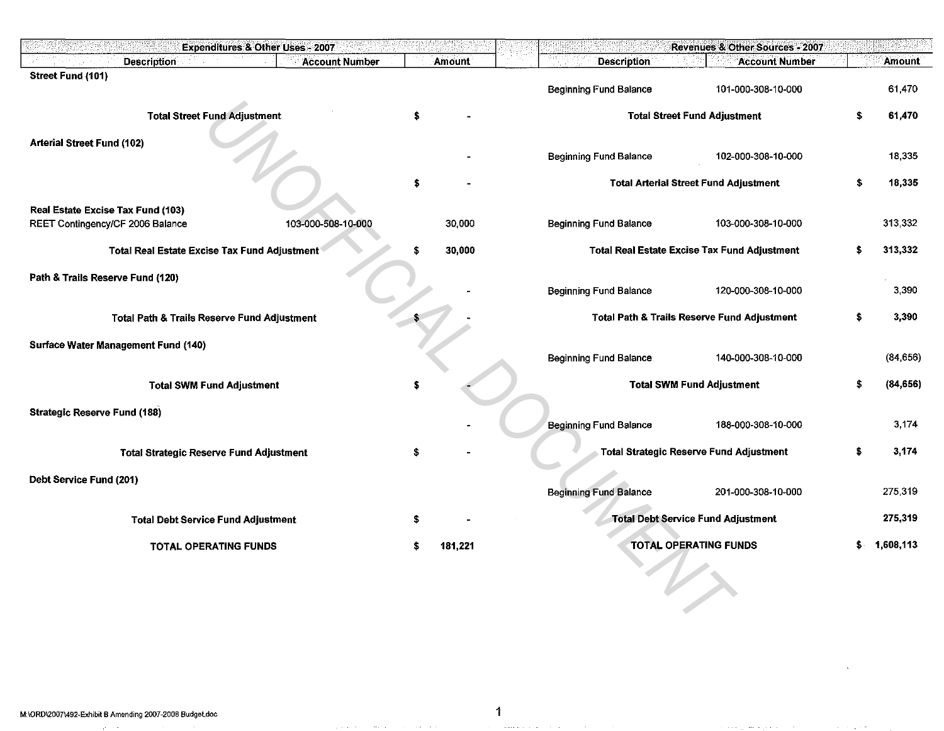| <b>Account Number</b><br><b>Description</b><br>Amount<br><b>Description</b><br><b>Account Number</b><br>Amount<br>Street Fund (101)<br>61,470<br><b>Beginning Fund Balance</b><br>101-000-308-10-000<br><b>Total Street Fund Adjustment</b><br><b>Total Street Fund Adjustment</b><br>61,470<br>\$<br><b>Arterial Street Fund (102)</b><br>18,335<br><b>Beginning Fund Balance</b><br>102-000-308-10-000<br>\$<br>\$<br><b>Total Arterial Street Fund Adjustment</b><br>18,335<br>Real Estate Excise Tax Fund (103)<br>103-000-508-10-000<br>30,000<br><b>Beginning Fund Balance</b><br>313 332<br>REET Contingency/CF 2006 Balance<br>103-000-308-10-000<br>30,000<br>313,332<br>Total Real Estate Excise Tax Fund Adjustment<br>\$<br><b>Total Real Estate Excise Tax Fund Adjustment</b><br>S<br>Path & Trails Reserve Fund (120)<br>3.390<br><b>Beginning Fund Balance</b><br>120-000-308-10-000<br>3,390<br><b>Total Path &amp; Trails Reserve Fund Adjustment</b><br>\$.<br><b>Total Path &amp; Trails Reserve Fund Adjustment</b><br>Surface Water Management Fund (140)<br>140-000-308-10-000<br>(84, 656)<br><b>Beginning Fund Balance</b><br><b>Total SWM Fund Adjustment</b><br>s<br>(84, 656)<br><b>Total SWM Fund Adjustment</b><br><b>Strategic Reserve Fund (188)</b><br><b>Beginning Fund Balance</b><br>3,174<br>188-000-308-10-000<br>3,174<br><b>Total Strategic Reserve Fund Adjustment</b><br>\$<br><b>Total Strategic Reserve Fund Adjustment</b><br>S<br>Debt Service Fund (201) |
|---------------------------------------------------------------------------------------------------------------------------------------------------------------------------------------------------------------------------------------------------------------------------------------------------------------------------------------------------------------------------------------------------------------------------------------------------------------------------------------------------------------------------------------------------------------------------------------------------------------------------------------------------------------------------------------------------------------------------------------------------------------------------------------------------------------------------------------------------------------------------------------------------------------------------------------------------------------------------------------------------------------------------------------------------------------------------------------------------------------------------------------------------------------------------------------------------------------------------------------------------------------------------------------------------------------------------------------------------------------------------------------------------------------------------------------------------------------------------------------------------------|
|                                                                                                                                                                                                                                                                                                                                                                                                                                                                                                                                                                                                                                                                                                                                                                                                                                                                                                                                                                                                                                                                                                                                                                                                                                                                                                                                                                                                                                                                                                         |
|                                                                                                                                                                                                                                                                                                                                                                                                                                                                                                                                                                                                                                                                                                                                                                                                                                                                                                                                                                                                                                                                                                                                                                                                                                                                                                                                                                                                                                                                                                         |
|                                                                                                                                                                                                                                                                                                                                                                                                                                                                                                                                                                                                                                                                                                                                                                                                                                                                                                                                                                                                                                                                                                                                                                                                                                                                                                                                                                                                                                                                                                         |
|                                                                                                                                                                                                                                                                                                                                                                                                                                                                                                                                                                                                                                                                                                                                                                                                                                                                                                                                                                                                                                                                                                                                                                                                                                                                                                                                                                                                                                                                                                         |
|                                                                                                                                                                                                                                                                                                                                                                                                                                                                                                                                                                                                                                                                                                                                                                                                                                                                                                                                                                                                                                                                                                                                                                                                                                                                                                                                                                                                                                                                                                         |
|                                                                                                                                                                                                                                                                                                                                                                                                                                                                                                                                                                                                                                                                                                                                                                                                                                                                                                                                                                                                                                                                                                                                                                                                                                                                                                                                                                                                                                                                                                         |
|                                                                                                                                                                                                                                                                                                                                                                                                                                                                                                                                                                                                                                                                                                                                                                                                                                                                                                                                                                                                                                                                                                                                                                                                                                                                                                                                                                                                                                                                                                         |
|                                                                                                                                                                                                                                                                                                                                                                                                                                                                                                                                                                                                                                                                                                                                                                                                                                                                                                                                                                                                                                                                                                                                                                                                                                                                                                                                                                                                                                                                                                         |
|                                                                                                                                                                                                                                                                                                                                                                                                                                                                                                                                                                                                                                                                                                                                                                                                                                                                                                                                                                                                                                                                                                                                                                                                                                                                                                                                                                                                                                                                                                         |
|                                                                                                                                                                                                                                                                                                                                                                                                                                                                                                                                                                                                                                                                                                                                                                                                                                                                                                                                                                                                                                                                                                                                                                                                                                                                                                                                                                                                                                                                                                         |
|                                                                                                                                                                                                                                                                                                                                                                                                                                                                                                                                                                                                                                                                                                                                                                                                                                                                                                                                                                                                                                                                                                                                                                                                                                                                                                                                                                                                                                                                                                         |
|                                                                                                                                                                                                                                                                                                                                                                                                                                                                                                                                                                                                                                                                                                                                                                                                                                                                                                                                                                                                                                                                                                                                                                                                                                                                                                                                                                                                                                                                                                         |
|                                                                                                                                                                                                                                                                                                                                                                                                                                                                                                                                                                                                                                                                                                                                                                                                                                                                                                                                                                                                                                                                                                                                                                                                                                                                                                                                                                                                                                                                                                         |
|                                                                                                                                                                                                                                                                                                                                                                                                                                                                                                                                                                                                                                                                                                                                                                                                                                                                                                                                                                                                                                                                                                                                                                                                                                                                                                                                                                                                                                                                                                         |
|                                                                                                                                                                                                                                                                                                                                                                                                                                                                                                                                                                                                                                                                                                                                                                                                                                                                                                                                                                                                                                                                                                                                                                                                                                                                                                                                                                                                                                                                                                         |
|                                                                                                                                                                                                                                                                                                                                                                                                                                                                                                                                                                                                                                                                                                                                                                                                                                                                                                                                                                                                                                                                                                                                                                                                                                                                                                                                                                                                                                                                                                         |
|                                                                                                                                                                                                                                                                                                                                                                                                                                                                                                                                                                                                                                                                                                                                                                                                                                                                                                                                                                                                                                                                                                                                                                                                                                                                                                                                                                                                                                                                                                         |
|                                                                                                                                                                                                                                                                                                                                                                                                                                                                                                                                                                                                                                                                                                                                                                                                                                                                                                                                                                                                                                                                                                                                                                                                                                                                                                                                                                                                                                                                                                         |
|                                                                                                                                                                                                                                                                                                                                                                                                                                                                                                                                                                                                                                                                                                                                                                                                                                                                                                                                                                                                                                                                                                                                                                                                                                                                                                                                                                                                                                                                                                         |
|                                                                                                                                                                                                                                                                                                                                                                                                                                                                                                                                                                                                                                                                                                                                                                                                                                                                                                                                                                                                                                                                                                                                                                                                                                                                                                                                                                                                                                                                                                         |
|                                                                                                                                                                                                                                                                                                                                                                                                                                                                                                                                                                                                                                                                                                                                                                                                                                                                                                                                                                                                                                                                                                                                                                                                                                                                                                                                                                                                                                                                                                         |
|                                                                                                                                                                                                                                                                                                                                                                                                                                                                                                                                                                                                                                                                                                                                                                                                                                                                                                                                                                                                                                                                                                                                                                                                                                                                                                                                                                                                                                                                                                         |
|                                                                                                                                                                                                                                                                                                                                                                                                                                                                                                                                                                                                                                                                                                                                                                                                                                                                                                                                                                                                                                                                                                                                                                                                                                                                                                                                                                                                                                                                                                         |
|                                                                                                                                                                                                                                                                                                                                                                                                                                                                                                                                                                                                                                                                                                                                                                                                                                                                                                                                                                                                                                                                                                                                                                                                                                                                                                                                                                                                                                                                                                         |
|                                                                                                                                                                                                                                                                                                                                                                                                                                                                                                                                                                                                                                                                                                                                                                                                                                                                                                                                                                                                                                                                                                                                                                                                                                                                                                                                                                                                                                                                                                         |
|                                                                                                                                                                                                                                                                                                                                                                                                                                                                                                                                                                                                                                                                                                                                                                                                                                                                                                                                                                                                                                                                                                                                                                                                                                                                                                                                                                                                                                                                                                         |
|                                                                                                                                                                                                                                                                                                                                                                                                                                                                                                                                                                                                                                                                                                                                                                                                                                                                                                                                                                                                                                                                                                                                                                                                                                                                                                                                                                                                                                                                                                         |
|                                                                                                                                                                                                                                                                                                                                                                                                                                                                                                                                                                                                                                                                                                                                                                                                                                                                                                                                                                                                                                                                                                                                                                                                                                                                                                                                                                                                                                                                                                         |
| <b>Beginning Fund Balance</b><br>275,319<br>201-000-308-10-000                                                                                                                                                                                                                                                                                                                                                                                                                                                                                                                                                                                                                                                                                                                                                                                                                                                                                                                                                                                                                                                                                                                                                                                                                                                                                                                                                                                                                                          |
| 275,319                                                                                                                                                                                                                                                                                                                                                                                                                                                                                                                                                                                                                                                                                                                                                                                                                                                                                                                                                                                                                                                                                                                                                                                                                                                                                                                                                                                                                                                                                                 |
| <b>Total Debt Service Fund Adjustment</b><br><b>Total Debt Service Fund Adjustment</b>                                                                                                                                                                                                                                                                                                                                                                                                                                                                                                                                                                                                                                                                                                                                                                                                                                                                                                                                                                                                                                                                                                                                                                                                                                                                                                                                                                                                                  |
| <b>TOTAL OPERATING FUNDS</b><br>1,608,113<br><b>TOTAL OPERATING FUNDS</b><br>181,221                                                                                                                                                                                                                                                                                                                                                                                                                                                                                                                                                                                                                                                                                                                                                                                                                                                                                                                                                                                                                                                                                                                                                                                                                                                                                                                                                                                                                    |
|                                                                                                                                                                                                                                                                                                                                                                                                                                                                                                                                                                                                                                                                                                                                                                                                                                                                                                                                                                                                                                                                                                                                                                                                                                                                                                                                                                                                                                                                                                         |
|                                                                                                                                                                                                                                                                                                                                                                                                                                                                                                                                                                                                                                                                                                                                                                                                                                                                                                                                                                                                                                                                                                                                                                                                                                                                                                                                                                                                                                                                                                         |
|                                                                                                                                                                                                                                                                                                                                                                                                                                                                                                                                                                                                                                                                                                                                                                                                                                                                                                                                                                                                                                                                                                                                                                                                                                                                                                                                                                                                                                                                                                         |
|                                                                                                                                                                                                                                                                                                                                                                                                                                                                                                                                                                                                                                                                                                                                                                                                                                                                                                                                                                                                                                                                                                                                                                                                                                                                                                                                                                                                                                                                                                         |

المتعاون والمتناوب المتنادين والمتناوب والمتعاونة والمستورة والمتناوب

المتعارض والمتناوب والمستناد والمتناول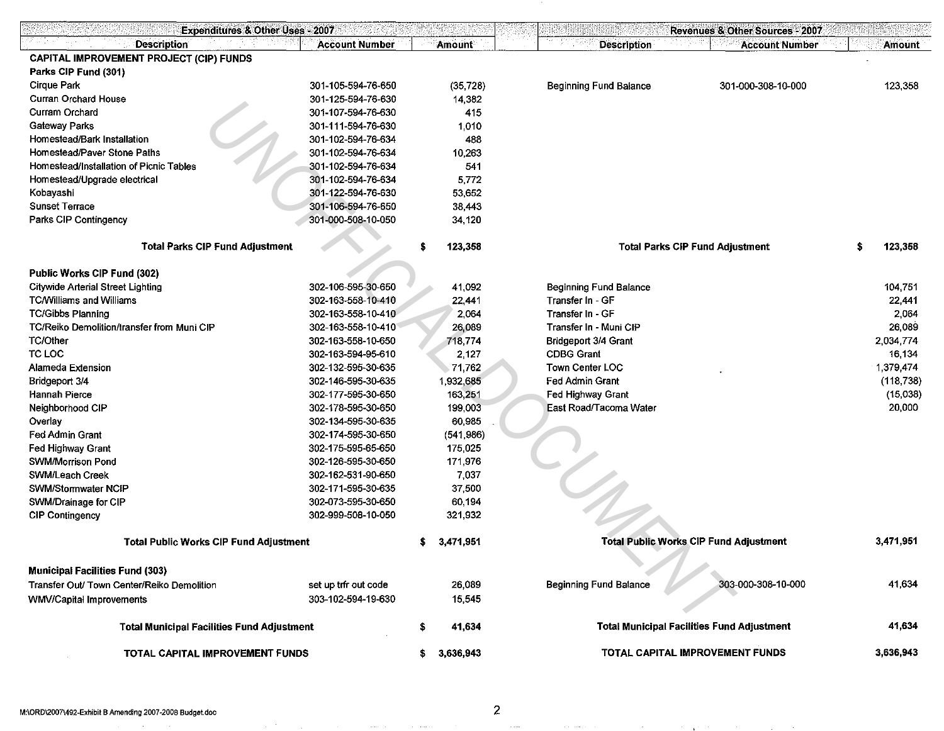| <b>Expenditures &amp; Other Uses - 2007</b>           |                       |  |               |                                                   | Revenues & Other Sources - 2007               |           |            |
|-------------------------------------------------------|-----------------------|--|---------------|---------------------------------------------------|-----------------------------------------------|-----------|------------|
| <b>Description</b>                                    | <b>Account Number</b> |  | <b>Amount</b> | <b>Description</b>                                | <b>Account Number</b>                         |           | Amount     |
| CAPITAL IMPROVEMENT PROJECT (CIP) FUNDS               |                       |  |               |                                                   |                                               |           |            |
| Parks CIP Fund (301)                                  |                       |  |               |                                                   |                                               |           |            |
| <b>Cirque Park</b>                                    | 301-105-594-76-650    |  | (35, 728)     | <b>Beginning Fund Balance</b>                     | 301-000-308-10-000                            |           | 123,358    |
| <b>Curran Orchard House</b>                           | 301-125-594-76-630    |  | 14,382        |                                                   |                                               |           |            |
| Curram Orchard                                        | 301-107-594-76-630    |  | 415           |                                                   |                                               |           |            |
| Gateway Parks                                         | 301-111-594-76-630    |  | 1,010         |                                                   |                                               |           |            |
| Homestead/Bark Installation                           | 301-102-594-76-634    |  | 488           |                                                   |                                               |           |            |
| Homestead/Paver Stone Paths                           | 301-102-594-76-634    |  | 10,263        |                                                   |                                               |           |            |
| Homestead/Installation of Picnic Tables               | 301-102-594-76-634    |  | 541           |                                                   |                                               |           |            |
| Homestead/Upgrade electrical                          | 301-102-594-76-634    |  | 5,772         |                                                   |                                               |           |            |
| Kobayashi                                             | 301-122-594-76-630    |  | 53,652        |                                                   |                                               |           |            |
| <b>Sunset Terrace</b>                                 | 301-106-594-76-650    |  | 38,443        |                                                   |                                               |           |            |
| Parks CIP Contingency                                 | 301-000-508-10-050    |  | 34,120        |                                                   |                                               |           |            |
|                                                       |                       |  |               |                                                   |                                               |           |            |
| <b>Total Parks CIP Fund Adjustment</b>                |                       |  | 123,358       |                                                   | <b>Total Parks CIP Fund Adjustment</b>        | S         | 123,358    |
| Public Works CIP Fund (302)                           |                       |  |               |                                                   |                                               |           |            |
| <b>Citywide Arterial Street Lighting</b>              | 302-106-595-30-650    |  | 41,092        | <b>Beginning Fund Balance</b>                     |                                               |           | 104.751    |
| <b>TC/Williams and Williams</b>                       | 302-163-558-10-410    |  | 22,441        | Transfer In - GF                                  |                                               |           | 22.441     |
| <b>TC/Gibbs Planning</b>                              | 302-163-558-10-410    |  | 2,064         | Transfer In - GF                                  |                                               |           | 2.064      |
| TC/Reiko Demolition/transfer from Muni CIP            | 302-163-558-10-410    |  | 26,089        | Transfer In - Muni CIP                            |                                               |           | 26,089     |
| <b>TC/Other</b>                                       | 302-163-558-10-650    |  | 718,774       | <b>Bridgeport 3/4 Grant</b>                       |                                               |           | 2,034.774  |
| TC LOC                                                | 302-163-594-95-610    |  | 2,127         | <b>CDBG Grant</b>                                 |                                               |           | 16.134     |
| <b>Alameda Extension</b>                              | 302-132-595-30-635    |  | 71,762        | <b>Town Center LOC</b>                            |                                               |           | 1,379,474  |
| Bridgeport 3/4                                        | 302-146-595-30-635    |  | 1,932,685     | Fed Admin Grant                                   |                                               |           | (118, 738) |
| <b>Hannah Pierce</b>                                  | 302-177-595-30-650    |  | 163,251       | Fed Highway Grant                                 |                                               |           | (15,038)   |
| Neighborhood CIP                                      | 302-178-595-30-650    |  | 199,003       | East Road/Tacoma Water                            |                                               |           | 20,000     |
| Overlay                                               | 302-134-595-30-635    |  | 60,985        |                                                   |                                               |           |            |
| <b>Fed Admin Grant</b>                                | 302-174-595-30-650    |  | (541, 986)    |                                                   |                                               |           |            |
| Fed Highway Grant                                     | 302-175-595-65-650    |  | 175,025       |                                                   |                                               |           |            |
| <b>SWM/Morrison Pond</b>                              | 302-126-595-30-650    |  | 171,976       |                                                   |                                               |           |            |
| SWM/Leach Creek                                       | 302-162-531-90-650    |  | 7,037         |                                                   |                                               |           |            |
| SWM/Stormwater NCIP                                   | 302-171-595-30-635    |  | 37,500        |                                                   |                                               |           |            |
| SWM/Drainage for CIP                                  | 302-073-595-30-650    |  | 60,194        |                                                   |                                               |           |            |
| <b>CIP Contingency</b>                                | 302-999-508-10-050    |  | 321,932       |                                                   |                                               |           |            |
|                                                       |                       |  |               |                                                   |                                               |           |            |
| <b>Total Public Works CIP Fund Adjustment</b>         |                       |  | 3,471,951     |                                                   | <b>Total Public Works CIP Fund Adjustment</b> |           | 3,471,951  |
| <b>Municipal Facilities Fund (303)</b>                |                       |  |               |                                                   |                                               |           |            |
| Transfer Out/ Town Center/Reiko Demolition            | set up trfr out code  |  | 26,089        | <b>Beginning Fund Balance</b>                     | 303-000-308-10-000                            |           | 41,634     |
| 303-102-594-19-630<br><b>WMV/Capital Improvements</b> |                       |  | 15,545        |                                                   |                                               |           |            |
|                                                       |                       |  |               |                                                   |                                               |           |            |
| <b>Total Municipal Facilities Fund Adjustment</b>     |                       |  | 41,634        | <b>Total Municipal Facilities Fund Adjustment</b> |                                               |           | 41,634     |
| TOTAL CAPITAL IMPROVEMENT FUNDS                       |                       |  | 3,636,943     | TOTAL CAPITAL IMPROVEMENT FUNDS                   |                                               | 3,636,943 |            |

 $\langle \cdot \rangle$ 

communications of the communications of

**Contractor** 

 $\sim$  1000  $\sim$  1000  $\sim$  1000  $\sim$  1000  $\sim$  1000  $\sim$